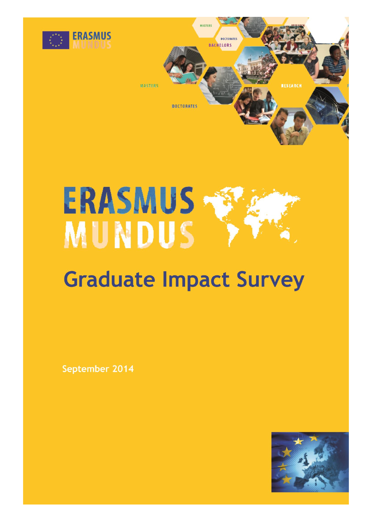

# **ERASMUS MUNDUS**

# **Graduate Impact Survey**

September 2014

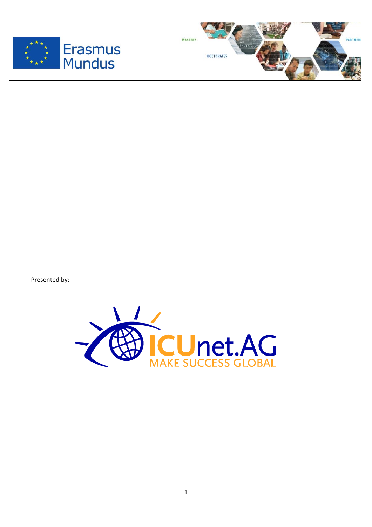



Presented by:

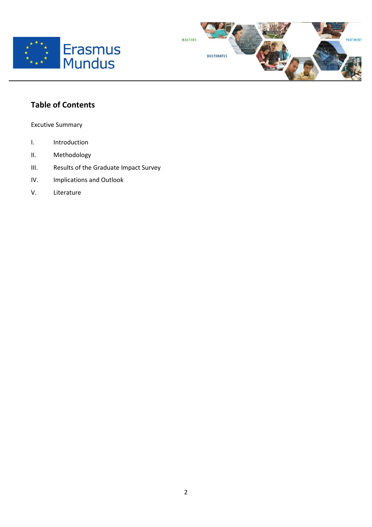



# **Table of Contents**

Excutive Summary

- I. Introduction
- II. Methodology
- III. Results of the Graduate Impact Survey

 $\overline{a}$ 

- IV. Implications and Outlook
- V. Literature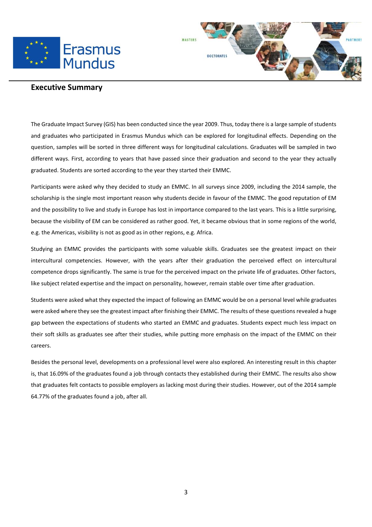



### **Executive Summary**

 $\overline{a}$ 

The Graduate Impact Survey (GIS) has been conducted since the year 2009. Thus, today there is a large sample of students and graduates who participated in Erasmus Mundus which can be explored for longitudinal effects. Depending on the question, samples will be sorted in three different ways for longitudinal calculations. Graduates will be sampled in two different ways. First, according to years that have passed since their graduation and second to the year they actually graduated. Students are sorted according to the year they started their EMMC.

Participants were asked why they decided to study an EMMC. In all surveys since 2009, including the 2014 sample, the scholarship is the single most important reason why students decide in favour of the EMMC. The good reputation of EM and the possibility to live and study in Europe has lost in importance compared to the last years. This is a little surprising, because the visibility of EM can be considered as rather good. Yet, it became obvious that in some regions of the world, e.g. the Americas, visibility is not as good as in other regions, e.g. Africa.

Studying an EMMC provides the participants with some valuable skills. Graduates see the greatest impact on their intercultural competencies. However, with the years after their graduation the perceived effect on intercultural competence drops significantly. The same is true for the perceived impact on the private life of graduates. Other factors, like subject related expertise and the impact on personality, however, remain stable over time after graduation.

Students were asked what they expected the impact of following an EMMC would be on a personal level while graduates were asked where they see the greatest impact after finishing their EMMC. The results of these questions revealed a huge gap between the expectations of students who started an EMMC and graduates. Students expect much less impact on their soft skills as graduates see after their studies, while putting more emphasis on the impact of the EMMC on their careers.

Besides the personal level, developments on a professional level were also explored. An interesting result in this chapter is, that 16.09% of the graduates found a job through contacts they established during their EMMC. The results also show that graduates felt contacts to possible employers as lacking most during their studies. However, out of the 2014 sample 64.77% of the graduates found a job, after all.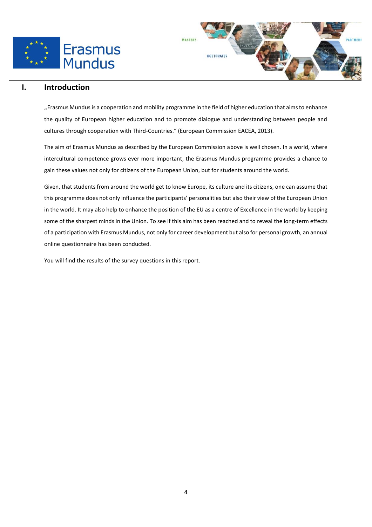



# **I. Introduction**

"Erasmus Mundusis a cooperation and mobility programme in the field of higher education that aims to enhance the quality of European higher education and to promote dialogue and understanding between people and cultures through cooperation with Third-Countries." (European Commission EACEA, 2013).

The aim of Erasmus Mundus as described by the European Commission above is well chosen. In a world, where intercultural competence grows ever more important, the Erasmus Mundus programme provides a chance to gain these values not only for citizens of the European Union, but for students around the world.

Given, that students from around the world get to know Europe, its culture and its citizens, one can assume that this programme does not only influence the participants' personalities but also their view of the European Union in the world. It may also help to enhance the position of the EU as a centre of Excellence in the world by keeping some of the sharpest minds in the Union. To see if this aim has been reached and to reveal the long-term effects of a participation with Erasmus Mundus, not only for career development but also for personal growth, an annual online questionnaire has been conducted.

You will find the results of the survey questions in this report.

 $\overline{a}$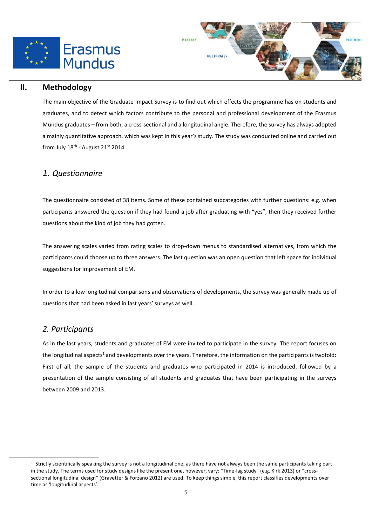



# **II. Methodology**

The main objective of the Graduate Impact Survey is to find out which effects the programme has on students and graduates, and to detect which factors contribute to the personal and professional development of the Erasmus Mundus graduates – from both, a cross-sectional and a longitudinal angle. Therefore, the survey has always adopted a mainly quantitative approach, which was kept in this year's study. The study was conducted online and carried out from July 18<sup>th</sup> - August 21st 2014.

# *1. Questionnaire*

The questionnaire consisted of 38 items. Some of these contained subcategories with further questions: e.g. when participants answered the question if they had found a job after graduating with "yes", then they received further questions about the kind of job they had gotten.

The answering scales varied from rating scales to drop-down menus to standardised alternatives, from which the participants could choose up to three answers. The last question was an open question that left space for individual suggestions for improvement of EM.

In order to allow longitudinal comparisons and observations of developments, the survey was generally made up of questions that had been asked in last years' surveys as well.

# *2. Participants*

 $\overline{a}$ 

As in the last years, students and graduates of EM were invited to participate in the survey. The report focuses on the longitudinal aspects<sup>1</sup> and developments over the years. Therefore, the information on the participants is twofold: First of all, the sample of the students and graduates who participated in 2014 is introduced, followed by a presentation of the sample consisting of all students and graduates that have been participating in the surveys between 2009 and 2013.

 $1$  Strictly scientifically speaking the survey is not a longitudinal one, as there have not always been the same participants taking part in the study. The terms used for study designs like the present one, however, vary: "Time-lag study" (e.g. Kirk 2013) or "crosssectional longitudinal design" (Gravetter & Forzano 2012) are used. To keep things simple, this report classifies developments over time as 'longitudinal aspects'.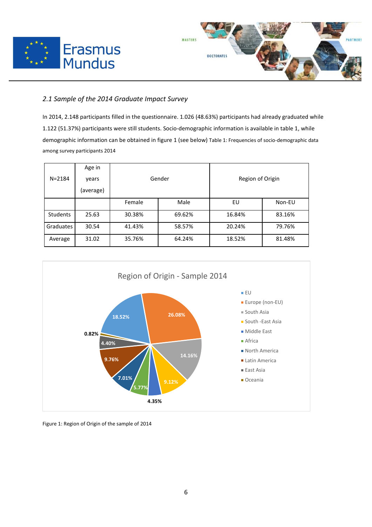



# *2.1 Sample of the 2014 Graduate Impact Survey*

 $\overline{a}$ 

In 2014, 2.148 participants filled in the questionnaire. 1.026 (48.63%) participants had already graduated while 1.122 (51.37%) participants were still students. Socio-demographic information is available in table 1, while demographic information can be obtained in figure 1 (see below) Table 1: Frequencies of socio-demographic data among survey participants 2014

|                 | Age in    | Gender |        | Region of Origin |        |
|-----------------|-----------|--------|--------|------------------|--------|
| $N = 2184$      | years     |        |        |                  |        |
|                 | (average) |        |        |                  |        |
|                 |           | Female | Male   | EU               | Non-EU |
| <b>Students</b> | 25.63     | 30.38% | 69.62% | 16.84%           | 83.16% |
| Graduates       | 30.54     | 41.43% | 58.57% | 20.24%           | 79.76% |
| Average         | 31.02     | 35.76% | 64.24% | 18.52%           | 81.48% |



Figure 1: Region of Origin of the sample of 2014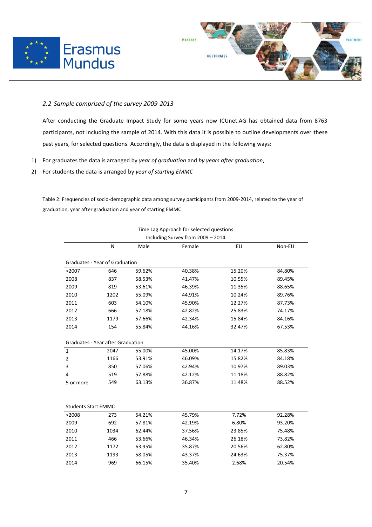



#### *2.2 Sample comprised of the survey 2009-2013*

 $\overline{a}$ 

After conducting the Graduate Impact Study for some years now ICUnet.AG has obtained data from 8763 participants, not including the sample of 2014. With this data it is possible to outline developments over these past years, for selected questions. Accordingly, the data is displayed in the following ways:

- 1) For graduates the data is arranged by *year of graduation* and *by years after graduation*,
- 2) For students the data is arranged by *year of starting EMMC*

Table 2: Frequencies of socio-demographic data among survey participants from 2009-2014, related to the year of graduation, year after graduation and year of starting EMMC

| N<br>Graduates - Year of Graduation<br>646 | Male   | Female | EU     | Non-EU |  |  |  |  |
|--------------------------------------------|--------|--------|--------|--------|--|--|--|--|
|                                            |        |        |        |        |  |  |  |  |
|                                            |        |        |        |        |  |  |  |  |
|                                            | 59.62% | 40.38% | 15.20% | 84.80% |  |  |  |  |
| 837                                        | 58.53% | 41.47% | 10.55% | 89.45% |  |  |  |  |
| 819                                        | 53.61% | 46.39% | 11.35% | 88.65% |  |  |  |  |
| 1202                                       | 55.09% | 44.91% | 10.24% | 89.76% |  |  |  |  |
| 603                                        | 54.10% | 45.90% | 12.27% | 87.73% |  |  |  |  |
| 666                                        | 57.18% | 42.82% | 25.83% | 74.17% |  |  |  |  |
| 1179                                       | 57.66% | 42.34% | 15.84% | 84.16% |  |  |  |  |
| 154                                        | 55.84% | 44.16% | 32.47% | 67.53% |  |  |  |  |
|                                            |        |        |        |        |  |  |  |  |
| <b>Graduates - Year after Graduation</b>   |        |        |        |        |  |  |  |  |
| 2047                                       | 55.00% | 45.00% | 14.17% | 85.83% |  |  |  |  |
| 1166                                       | 53.91% | 46.09% | 15.82% | 84.18% |  |  |  |  |
| 850                                        | 57.06% | 42.94% | 10.97% | 89.03% |  |  |  |  |
| 519                                        | 57.88% | 42.12% | 11.18% | 88.82% |  |  |  |  |
| 549                                        | 63.13% | 36.87% | 11.48% | 88.52% |  |  |  |  |
|                                            |        |        |        |        |  |  |  |  |
|                                            |        |        |        |        |  |  |  |  |
| <b>Students Start EMMC</b>                 |        |        |        |        |  |  |  |  |
| 273                                        | 54.21% | 45.79% | 7.72%  | 92.28% |  |  |  |  |
| 692                                        | 57.81% | 42.19% | 6.80%  | 93.20% |  |  |  |  |
| 1034                                       | 62.44% | 37.56% | 23.85% | 75.48% |  |  |  |  |
| 466                                        | 53.66% | 46.34% | 26.18% | 73.82% |  |  |  |  |
| 1172                                       | 63.95% | 35.87% | 20.56% | 62.80% |  |  |  |  |
| 1193                                       | 58.05% | 43.37% | 24.63% | 75.37% |  |  |  |  |
| 969                                        | 66.15% | 35.40% | 2.68%  | 20.54% |  |  |  |  |
|                                            |        |        |        |        |  |  |  |  |

Time Lag Approach for selected questions Including Survey from 2009 – 2014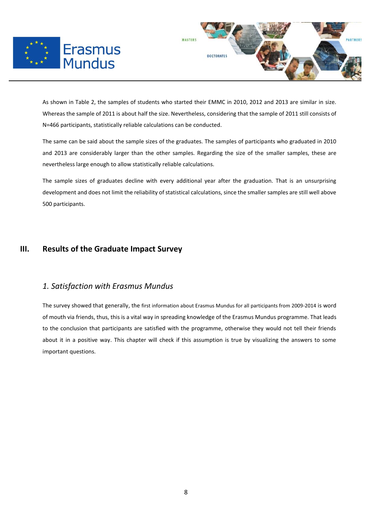



As shown in Table 2, the samples of students who started their EMMC in 2010, 2012 and 2013 are similar in size. Whereas the sample of 2011 is about half the size. Nevertheless, considering that the sample of 2011 still consists of N=466 participants, statistically reliable calculations can be conducted.

The same can be said about the sample sizes of the graduates. The samples of participants who graduated in 2010 and 2013 are considerably larger than the other samples. Regarding the size of the smaller samples, these are nevertheless large enough to allow statistically reliable calculations.

The sample sizes of graduates decline with every additional year after the graduation. That is an unsurprising development and does not limit the reliability of statistical calculations, since the smaller samples are still well above 500 participants.

# **III. Results of the Graduate Impact Survey**

 $\overline{a}$ 

# *1. Satisfaction with Erasmus Mundus*

The survey showed that generally, the first information about Erasmus Mundus for all participants from 2009-2014 is word of mouth via friends, thus, this is a vital way in spreading knowledge of the Erasmus Mundus programme. That leads to the conclusion that participants are satisfied with the programme, otherwise they would not tell their friends about it in a positive way. This chapter will check if this assumption is true by visualizing the answers to some important questions.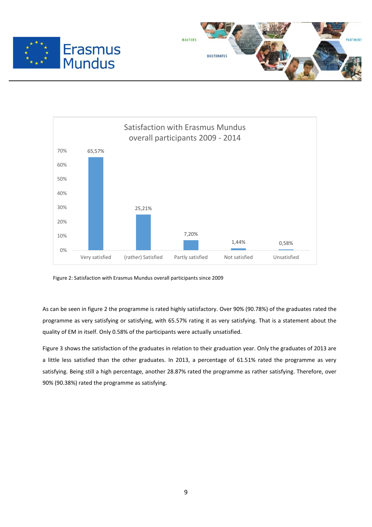





Figure 2: Satisfaction with Erasmus Mundus overall participants since 2009

As can be seen in figure 2 the programme is rated highly satisfactory. Over 90% (90.78%) of the graduates rated the programme as very satisfying or satisfying, with 65.57% rating it as very satisfying. That is a statement about the quality of EM in itself. Only 0.58% of the participants were actually unsatisfied.

Figure 3 shows the satisfaction of the graduates in relation to their graduation year. Only the graduates of 2013 are a little less satisfied than the other graduates. In 2013, a percentage of 61.51% rated the programme as very satisfying. Being still a high percentage, another 28.87% rated the programme as rather satisfying. Therefore, over 90% (90.38%) rated the programme as satisfying.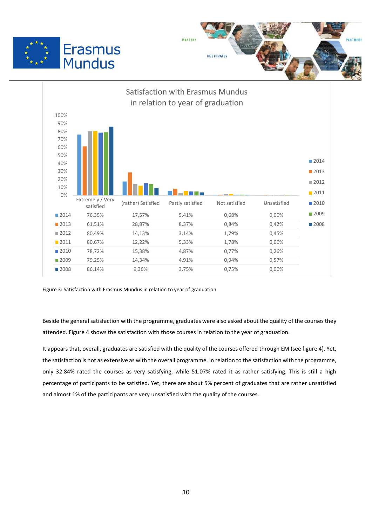





Figure 3: Satisfaction with Erasmus Mundus in relation to year of graduation

Beside the general satisfaction with the programme, graduates were also asked about the quality of the courses they attended. Figure 4 shows the satisfaction with those courses in relation to the year of graduation.

It appears that, overall, graduates are satisfied with the quality of the courses offered through EM (see figure 4). Yet, the satisfaction is not as extensive as with the overall programme. In relation to the satisfaction with the programme, only 32.84% rated the courses as very satisfying, while 51.07% rated it as rather satisfying. This is still a high percentage of participants to be satisfied. Yet, there are about 5% percent of graduates that are rather unsatisfied and almost 1% of the participants are very unsatisfied with the quality of the courses.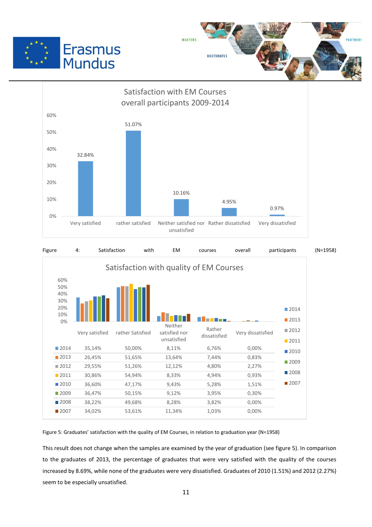







Figure 5: Graduates' satisfaction with the quality of EM Courses, in relation to graduation year (N=1958)

This result does not change when the samples are examined by the year of graduation (see figure 5). In comparison to the graduates of 2013, the percentage of graduates that were very satisfied with the quality of the courses increased by 8.69%, while none of the graduates were very dissatisfied. Graduates of 2010 (1.51%) and 2012 (2.27%) seem to be especially unsatisfied.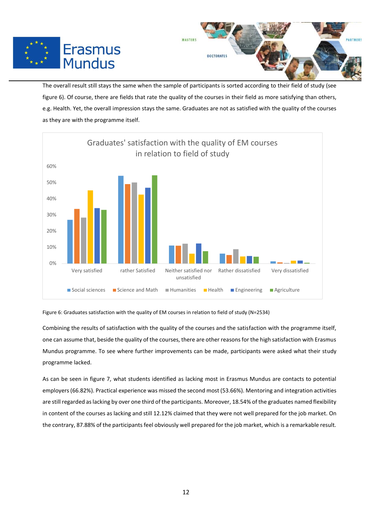



The overall result still stays the same when the sample of participants is sorted according to their field of study (see figure 6). Of course, there are fields that rate the quality of the courses in their field as more satisfying than others, e.g. Health. Yet, the overall impression stays the same. Graduates are not as satisfied with the quality of the courses as they are with the programme itself.

 $\overline{a}$ 



Figure 6: Graduates satisfaction with the quality of EM courses in relation to field of study (N=2534)

Combining the results of satisfaction with the quality of the courses and the satisfaction with the programme itself, one can assume that, beside the quality of the courses, there are other reasons for the high satisfaction with Erasmus Mundus programme. To see where further improvements can be made, participants were asked what their study programme lacked.

As can be seen in figure 7, what students identified as lacking most in Erasmus Mundus are contacts to potential employers (66.82%). Practical experience was missed the second most (53.66%). Mentoring and integration activities are still regarded as lacking by over one third of the participants. Moreover, 18.54% of the graduates named flexibility in content of the courses as lacking and still 12.12% claimed that they were not well prepared for the job market. On the contrary, 87.88% of the participants feel obviously well prepared for the job market, which is a remarkable result.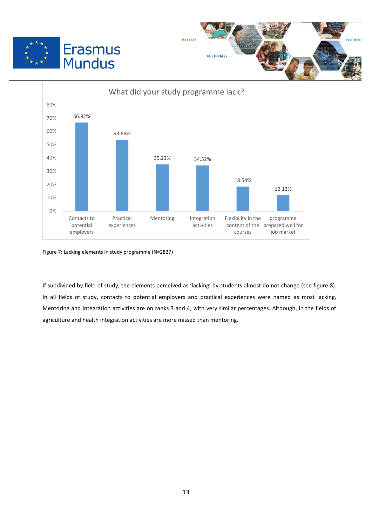





Figure 7: Lacking elements in study programme (N=2827)

If subdivided by field of study, the elements perceived as 'lacking' by students almost do not change (see figure 8). In all fields of study, contacts to potential employers and practical experiences were named as most lacking. Mentoring and integration activities are on ranks 3 and 4, with very similar percentages. Although, in the fields of agriculture and health integration activities are more missed than mentoring.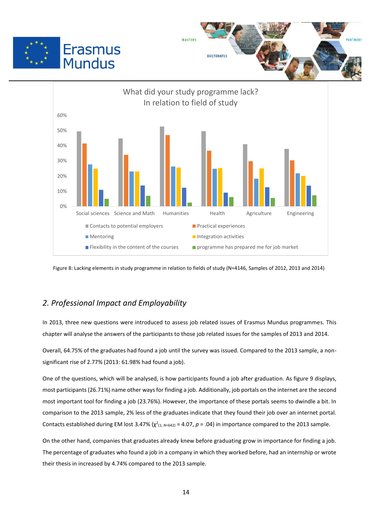





Figure 8: Lacking elements in study programme in relation to fields of study (N=4146, Samples of 2012, 2013 and 2014)

# *2. Professional Impact and Employability*

 $\overline{a}$ 

In 2013, three new questions were introduced to assess job related issues of Erasmus Mundus programmes. This chapter will analyse the answers of the participants to those job related issues for the samples of 2013 and 2014.

Overall, 64.75% of the graduates had found a job until the survey was issued. Compared to the 2013 sample, a nonsignificant rise of 2.77% (2013: 61.98% had found a job).

One of the questions, which will be analysed, is how participants found a job after graduation. As figure 9 displays, most participants (26.71%) name other waysfor finding a job. Additionally, job portals on the internet are the second most important tool for finding a job (23.76%). However, the importance of these portals seems to dwindle a bit. In comparison to the 2013 sample, 2% less of the graduates indicate that they found their job over an internet portal. Contacts established during EM lost 3.47%  $(\chi^2_{(1, N=642)} = 4.07, p = .04)$  in importance compared to the 2013 sample.

On the other hand, companies that graduates already knew before graduating grow in importance for finding a job. The percentage of graduates who found a job in a company in which they worked before, had an internship or wrote their thesis in increased by 4.74% compared to the 2013 sample.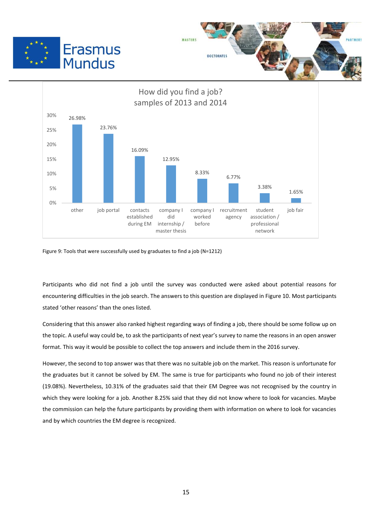





Figure 9: Tools that were successfully used by graduates to find a job (N=1212)

 $\overline{a}$ 

Participants who did not find a job until the survey was conducted were asked about potential reasons for encountering difficulties in the job search. The answers to this question are displayed in Figure 10. Most participants stated 'other reasons' than the ones listed.

Considering that this answer also ranked highest regarding ways of finding a job, there should be some follow up on the topic. A useful way could be, to ask the participants of next year's survey to name the reasons in an open answer format. This way it would be possible to collect the top answers and include them in the 2016 survey.

However, the second to top answer was that there was no suitable job on the market. This reason is unfortunate for the graduates but it cannot be solved by EM. The same is true for participants who found no job of their interest (19.08%). Nevertheless, 10.31% of the graduates said that their EM Degree was not recognised by the country in which they were looking for a job. Another 8.25% said that they did not know where to look for vacancies. Maybe the commission can help the future participants by providing them with information on where to look for vacancies and by which countries the EM degree is recognized.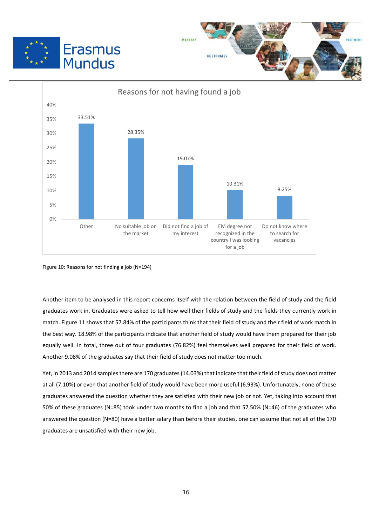





Figure 10: Reasons for not finding a job (N=194)

Another item to be analysed in this report concerns itself with the relation between the field of study and the field graduates work in. Graduates were asked to tell how well their fields of study and the fields they currently work in match. Figure 11 shows that 57.84% of the participants think that their field of study and their field of work match in the best way. 18.98% of the participants indicate that another field of study would have them prepared for their job equally well. In total, three out of four graduates (76.82%) feel themselves well prepared for their field of work. Another 9.08% of the graduates say that their field of study does not matter too much.

Yet, in 2013 and 2014 samples there are 170 graduates (14.03%) that indicate that their field of study does not matter at all (7.10%) or even that another field of study would have been more useful (6.93%). Unfortunately, none of these graduates answered the question whether they are satisfied with their new job or not. Yet, taking into account that 50% of these graduates (N=85) took under two months to find a job and that 57.50% (N=46) of the graduates who answered the question (N=80) have a better salary than before their studies, one can assume that not all of the 170 graduates are unsatisfied with their new job.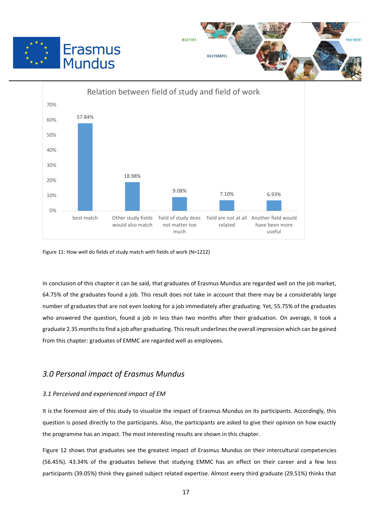





Figure 11: How well do fields of study match with fields of work (N=1212)

 $\overline{a}$ 

In conclusion of this chapter it can be said, that graduates of Erasmus Mundus are regarded well on the job market, 64.75% of the graduates found a job. This result does not take in account that there may be a considerably large number of graduates that are not even looking for a job immediately after graduating. Yet, 55.75% of the graduates who answered the question, found a job in less than two months after their graduation. On average, it took a graduate 2.35 months to find a job after graduating. This result underlines the overall impression which can be gained from this chapter: graduates of EMMC are regarded well as employees.

# *3.0 Personal impact of Erasmus Mundus*

#### *3.1 Perceived and experienced impact of EM*

It is the foremost aim of this study to visualize the impact of Erasmus Mundus on its participants. Accordingly, this question is posed directly to the participants. Also, the participants are asked to give their opinion on how exactly the programme has an impact. The most interesting results are shown in this chapter.

Figure 12 shows that graduates see the greatest impact of Erasmus Mundus on their intercultural competencies (56.45%). 43.34% of the graduates believe that studying EMMC has an effect on their career and a few less participants (39.05%) think they gained subject related expertise. Almost every third graduate (29.51%) thinks that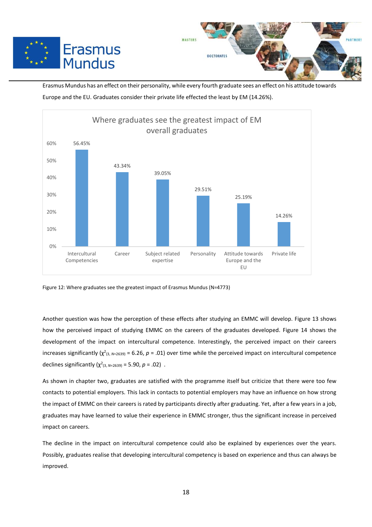



Erasmus Mundus has an effect on their personality, while every fourth graduate sees an effect on his attitude towards Europe and the EU. Graduates consider their private life effected the least by EM (14.26%).



Figure 12: Where graduates see the greatest impact of Erasmus Mundus (N=4773)

 $\overline{a}$ 

Another question was how the perception of these effects after studying an EMMC will develop. Figure 13 shows how the perceived impact of studying EMMC on the careers of the graduates developed. Figure 14 shows the development of the impact on intercultural competence. Interestingly, the perceived impact on their careers increases significantly ( $\chi^2$ <sub>(3, N=2639)</sub> = 6.26, p = .01) over time while the perceived impact on intercultural competence declines significantly  $(\chi^2_{(3, N=2639)} = 5.90, p = .02)$ .

As shown in chapter two, graduates are satisfied with the programme itself but criticize that there were too few contacts to potential employers. This lack in contacts to potential employers may have an influence on how strong the impact of EMMC on their careers is rated by participants directly after graduating. Yet, after a few years in a job, graduates may have learned to value their experience in EMMC stronger, thus the significant increase in perceived impact on careers.

The decline in the impact on intercultural competence could also be explained by experiences over the years. Possibly, graduates realise that developing intercultural competency is based on experience and thus can always be improved.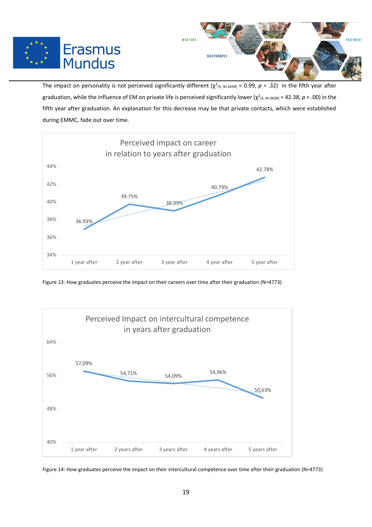



The impact on personality is not perceived significantly different  $(\chi^2_{(3, N=2639)} = 0.99, p = .32)$  in the fifth year after graduation, while the influence of EM on private life is perceived significantly lower ( $\chi^2$ <sub>(3, N=2639)</sub> = 42.38, p = .00) in the fifth year after graduation. An explanation for this decrease may be that private contacts, which were established during EMMC, fade out over time.



 $\overline{a}$ 

Figure 13: How graduates perceive the impact on their careers over time after their graduation (N=4773)



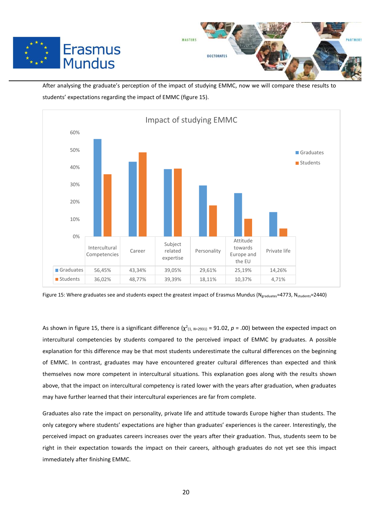



After analysing the graduate's perception of the impact of studying EMMC, now we will compare these results to students' expectations regarding the impact of EMMC (figure 15).

 $\overline{a}$ 



Figure 15: Where graduates see and students expect the greatest impact of Erasmus Mundus ( $N_{graduates}$ =4773,  $N_{students}=2440$ )

As shown in figure 15, there is a significant difference  $(\chi^2_{(1, N=2931)} = 91.02, p = .00)$  between the expected impact on intercultural competencies by students compared to the perceived impact of EMMC by graduates. A possible explanation for this difference may be that most students underestimate the cultural differences on the beginning of EMMC. In contrast, graduates may have encountered greater cultural differences than expected and think themselves now more competent in intercultural situations. This explanation goes along with the results shown above, that the impact on intercultural competency is rated lower with the years after graduation, when graduates may have further learned that their intercultural experiences are far from complete.

Graduates also rate the impact on personality, private life and attitude towards Europe higher than students. The only category where students' expectations are higher than graduates' experiences is the career. Interestingly, the perceived impact on graduates careers increases over the years after their graduation. Thus, students seem to be right in their expectation towards the impact on their careers, although graduates do not yet see this impact immediately after finishing EMMC.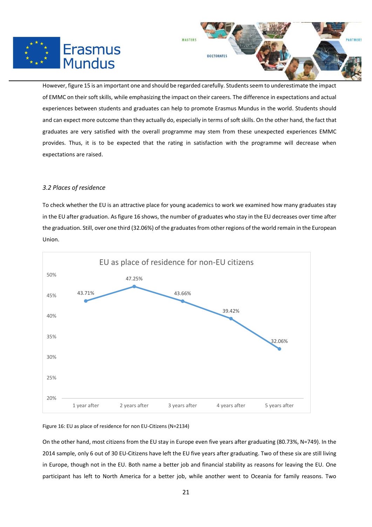



However, figure 15 is an important one and should be regarded carefully. Students seem to underestimate the impact of EMMC on their soft skills, while emphasizing the impact on their careers. The difference in expectations and actual experiences between students and graduates can help to promote Erasmus Mundus in the world. Students should and can expect more outcome than they actually do, especially in terms of soft skills. On the other hand, the fact that graduates are very satisfied with the overall programme may stem from these unexpected experiences EMMC provides. Thus, it is to be expected that the rating in satisfaction with the programme will decrease when expectations are raised.

 $\overline{a}$ 

#### *3.2 Places of residence*

To check whether the EU is an attractive place for young academics to work we examined how many graduates stay in the EU after graduation. As figure 16 shows, the number of graduates who stay in the EU decreases over time after the graduation. Still, over one third (32.06%) of the graduates from other regions of the world remain in the European Union.



#### Figure 16: EU as place of residence for non EU-Citizens (N=2134)

On the other hand, most citizens from the EU stay in Europe even five years after graduating (80.73%, N=749). In the 2014 sample, only 6 out of 30 EU-Citizens have left the EU five years after graduating. Two of these six are still living in Europe, though not in the EU. Both name a better job and financial stability as reasons for leaving the EU. One participant has left to North America for a better job, while another went to Oceania for family reasons. Two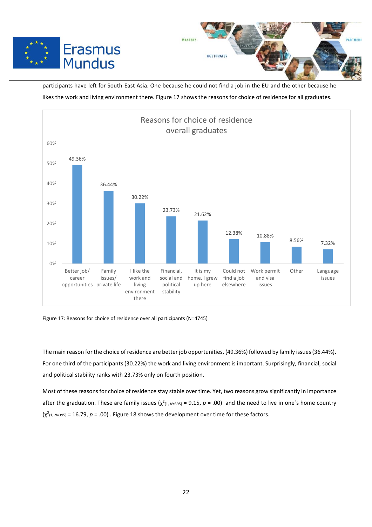



participants have left for South-East Asia. One because he could not find a job in the EU and the other because he likes the work and living environment there. Figure 17 shows the reasons for choice of residence for all graduates.



Figure 17: Reasons for choice of residence over all participants (N=4745)

 $\overline{a}$ 

The main reason for the choice of residence are better job opportunities, (49.36%) followed by family issues (36.44%). For one third of the participants (30.22%) the work and living environment is important. Surprisingly, financial, social and political stability ranks with 23.73% only on fourth position.

Most of these reasons for choice of residence stay stable over time. Yet, two reasons grow significantly in importance after the graduation. These are family issues  $(\chi^2_{(1, N=395)} = 9.15, p = .00)$  and the need to live in one`s home country  $(\chi^2_{(1, N=395)} = 16.79, p = .00)$ . Figure 18 shows the development over time for these factors.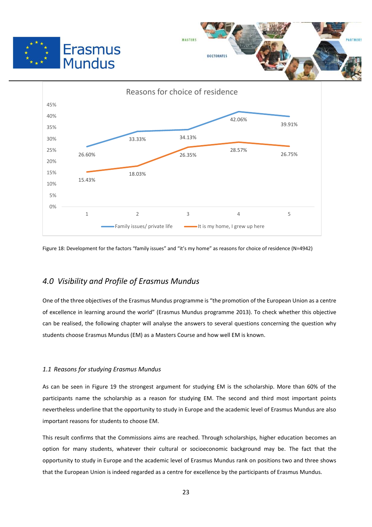



Figure 18: Development for the factors "family issues" and "it's my home" as reasons for choice of residence (N=4942)

# *4.0 Visibility and Profile of Erasmus Mundus*

One of the three objectives of the Erasmus Mundus programme is "the promotion of the European Union as a centre of excellence in learning around the world" (Erasmus Mundus programme 2013). To check whether this objective can be realised, the following chapter will analyse the answers to several questions concerning the question why students choose Erasmus Mundus (EM) as a Masters Course and how well EM is known.

#### *1.1 Reasons for studying Erasmus Mundus*

As can be seen in Figure 19 the strongest argument for studying EM is the scholarship. More than 60% of the participants name the scholarship as a reason for studying EM. The second and third most important points nevertheless underline that the opportunity to study in Europe and the academic level of Erasmus Mundus are also important reasons for students to choose EM.

This result confirms that the Commissions aims are reached. Through scholarships, higher education becomes an option for many students, whatever their cultural or socioeconomic background may be. The fact that the opportunity to study in Europe and the academic level of Erasmus Mundus rank on positions two and three shows that the European Union is indeed regarded as a centre for excellence by the participants of Erasmus Mundus.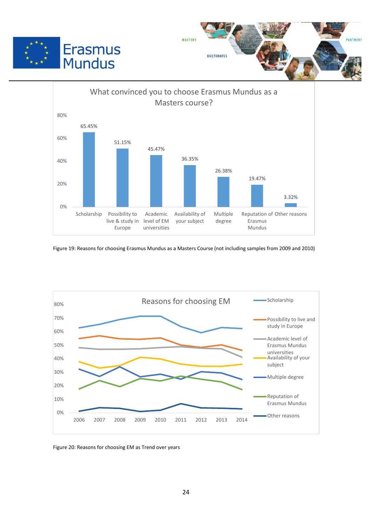





Figure 19: Reasons for choosing Erasmus Mundus as a Masters Course (not including samples from 2009 and 2010)



Figure 20: Reasons for choosing EM as Trend over years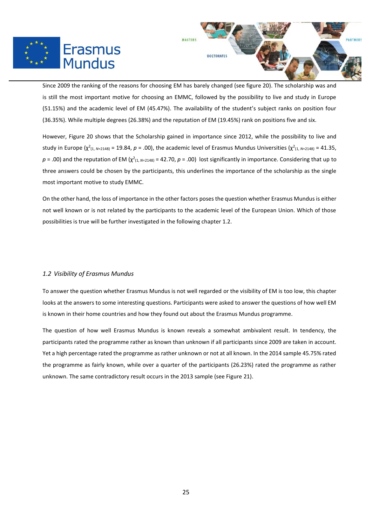



Since 2009 the ranking of the reasons for choosing EM has barely changed (see figure 20). The scholarship was and is still the most important motive for choosing an EMMC, followed by the possibility to live and study in Europe (51.15%) and the academic level of EM (45.47%). The availability of the student's subject ranks on position four (36.35%). While multiple degrees (26.38%) and the reputation of EM (19.45%) rank on positions five and six.

 $\overline{a}$ 

However, Figure 20 shows that the Scholarship gained in importance since 2012, while the possibility to live and study in Europe ( $\chi^2_{(1, N=2148)}$  = 19.84,  $p$  = .00), the academic level of Erasmus Mundus Universities ( $\chi^2_{(1, N=2148)}$  = 41.35,  $p$  = .00) and the reputation of EM ( $\chi^2$ <sub>(1,  $N=2148$ ) = 42.70,  $p$  = .00) lost significantly in importance. Considering that up to</sub> three answers could be chosen by the participants, this underlines the importance of the scholarship as the single most important motive to study EMMC.

On the other hand, the loss of importance in the other factors poses the question whether Erasmus Mundus is either not well known or is not related by the participants to the academic level of the European Union. Which of those possibilities is true will be further investigated in the following chapter 1.2.

#### *1.2 Visibility of Erasmus Mundus*

To answer the question whether Erasmus Mundus is not well regarded or the visibility of EM is too low, this chapter looks at the answers to some interesting questions. Participants were asked to answer the questions of how well EM is known in their home countries and how they found out about the Erasmus Mundus programme.

The question of how well Erasmus Mundus is known reveals a somewhat ambivalent result. In tendency, the participants rated the programme rather as known than unknown if all participants since 2009 are taken in account. Yet a high percentage rated the programme as rather unknown or not at all known. In the 2014 sample 45.75% rated the programme as fairly known, while over a quarter of the participants (26.23%) rated the programme as rather unknown. The same contradictory result occurs in the 2013 sample (see Figure 21).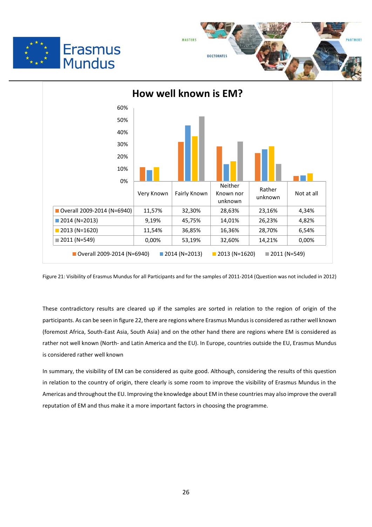





Figure 21: Visibility of Erasmus Mundus for all Participants and for the samples of 2011-2014 (Question was not included in 2012)

These contradictory results are cleared up if the samples are sorted in relation to the region of origin of the participants. As can be seen in figure 22, there are regions where Erasmus Mundus is considered as rather well known (foremost Africa, South-East Asia, South Asia) and on the other hand there are regions where EM is considered as rather not well known (North- and Latin America and the EU). In Europe, countries outside the EU, Erasmus Mundus is considered rather well known

In summary, the visibility of EM can be considered as quite good. Although, considering the results of this question in relation to the country of origin, there clearly is some room to improve the visibility of Erasmus Mundus in the Americas and throughout the EU. Improving the knowledge about EM in these countries may also improve the overall reputation of EM and thus make it a more important factors in choosing the programme.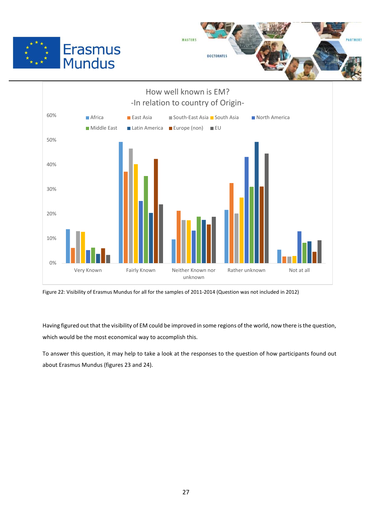





Figure 22: Visibility of Erasmus Mundus for all for the samples of 2011-2014 (Question was not included in 2012)

Having figured out that the visibility of EM could be improved in some regions of the world, now there is the question, which would be the most economical way to accomplish this.

To answer this question, it may help to take a look at the responses to the question of how participants found out about Erasmus Mundus (figures 23 and 24).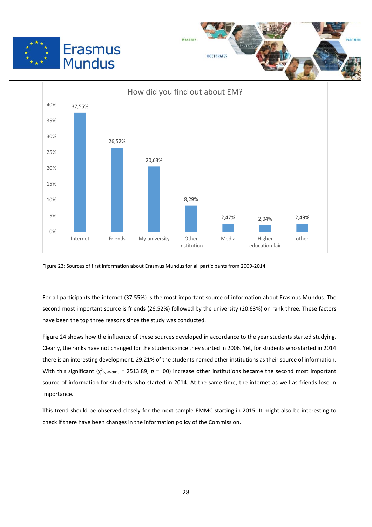





Figure 23: Sources of first information about Erasmus Mundus for all participants from 2009-2014

 $\overline{a}$ 

For all participants the internet (37.55%) is the most important source of information about Erasmus Mundus. The second most important source is friends (26.52%) followed by the university (20.63%) on rank three. These factors have been the top three reasons since the study was conducted.

Figure 24 shows how the influence of these sources developed in accordance to the year students started studying. Clearly, the ranks have not changed for the students since they started in 2006. Yet, for students who started in 2014 there is an interesting development. 29.21% of the students named other institutions as their source of information. With this significant  $(\chi^2_{6, N=981})$  = 2513.89,  $p = .00$ ) increase other institutions became the second most important source of information for students who started in 2014. At the same time, the internet as well as friends lose in importance.

This trend should be observed closely for the next sample EMMC starting in 2015. It might also be interesting to check if there have been changes in the information policy of the Commission.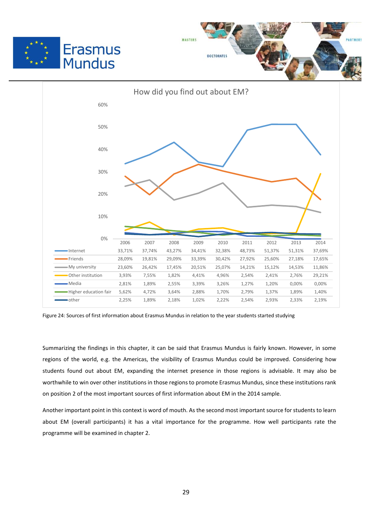





Figure 24: Sources of first information about Erasmus Mundus in relation to the year students started studying

Summarizing the findings in this chapter, it can be said that Erasmus Mundus is fairly known. However, in some regions of the world, e.g. the Americas, the visibility of Erasmus Mundus could be improved. Considering how students found out about EM, expanding the internet presence in those regions is advisable. It may also be worthwhile to win over other institutions in those regions to promote Erasmus Mundus, since these institutions rank on position 2 of the most important sources of first information about EM in the 2014 sample.

Another important point in this context is word of mouth. As the second most important source for students to learn about EM (overall participants) it has a vital importance for the programme. How well participants rate the programme will be examined in chapter 2.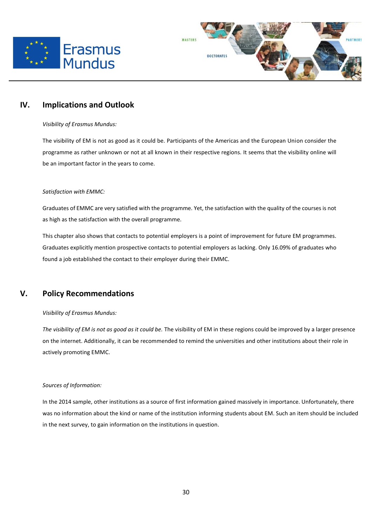



# **IV. Implications and Outlook**

 $\overline{a}$ 

#### *Visibility of Erasmus Mundus:*

The visibility of EM is not as good as it could be. Participants of the Americas and the European Union consider the programme as rather unknown or not at all known in their respective regions. It seems that the visibility online will be an important factor in the years to come.

#### *Satisfaction with EMMC:*

Graduates of EMMC are very satisfied with the programme. Yet, the satisfaction with the quality of the courses is not as high as the satisfaction with the overall programme.

This chapter also shows that contacts to potential employers is a point of improvement for future EM programmes. Graduates explicitly mention prospective contacts to potential employers as lacking. Only 16.09% of graduates who found a job established the contact to their employer during their EMMC.

# **V. Policy Recommendations**

#### *Visibility of Erasmus Mundus:*

*The visibility of EM is not as good as it could be.* The visibility of EM in these regions could be improved by a larger presence on the internet. Additionally, it can be recommended to remind the universities and other institutions about their role in actively promoting EMMC.

#### *Sources of Information:*

In the 2014 sample, other institutions as a source of first information gained massively in importance. Unfortunately, there was no information about the kind or name of the institution informing students about EM. Such an item should be included in the next survey, to gain information on the institutions in question.